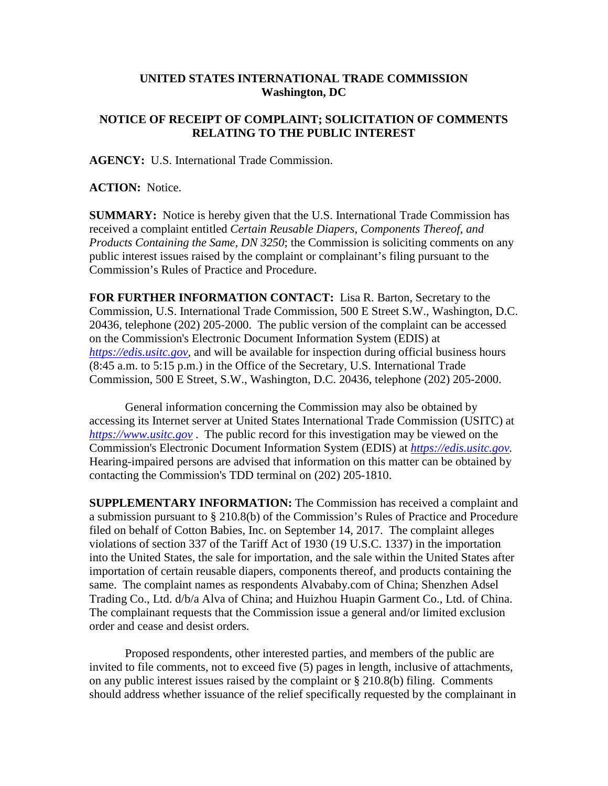## **UNITED STATES INTERNATIONAL TRADE COMMISSION Washington, DC**

## **NOTICE OF RECEIPT OF COMPLAINT; SOLICITATION OF COMMENTS RELATING TO THE PUBLIC INTEREST**

**AGENCY:** U.S. International Trade Commission.

**ACTION:** Notice.

**SUMMARY:** Notice is hereby given that the U.S. International Trade Commission has received a complaint entitled *Certain Reusable Diapers, Components Thereof, and Products Containing the Same, DN 3250*; the Commission is soliciting comments on any public interest issues raised by the complaint or complainant's filing pursuant to the Commission's Rules of Practice and Procedure.

**FOR FURTHER INFORMATION CONTACT:** Lisa R. Barton, Secretary to the Commission, U.S. International Trade Commission, 500 E Street S.W., Washington, D.C. 20436, telephone (202) 205-2000. The public version of the complaint can be accessed on the Commission's Electronic Document Information System (EDIS) at *[https://edis.usitc.gov](https://edis.usitc.gov/)*, and will be available for inspection during official business hours (8:45 a.m. to 5:15 p.m.) in the Office of the Secretary, U.S. International Trade Commission, 500 E Street, S.W., Washington, D.C. 20436, telephone (202) 205-2000.

General information concerning the Commission may also be obtained by accessing its Internet server at United States International Trade Commission (USITC) at *[https://www.usitc.gov](https://www.usitc.gov/)* . The public record for this investigation may be viewed on the Commission's Electronic Document Information System (EDIS) at *[https://edis.usitc.gov.](https://edis.usitc.gov/)* Hearing-impaired persons are advised that information on this matter can be obtained by contacting the Commission's TDD terminal on (202) 205-1810.

**SUPPLEMENTARY INFORMATION:** The Commission has received a complaint and a submission pursuant to § 210.8(b) of the Commission's Rules of Practice and Procedure filed on behalf of Cotton Babies, Inc. on September 14, 2017. The complaint alleges violations of section 337 of the Tariff Act of 1930 (19 U.S.C. 1337) in the importation into the United States, the sale for importation, and the sale within the United States after importation of certain reusable diapers, components thereof, and products containing the same. The complaint names as respondents Alvababy.com of China; Shenzhen Adsel Trading Co., Ltd. d/b/a Alva of China; and Huizhou Huapin Garment Co., Ltd. of China. The complainant requests that the Commission issue a general and/or limited exclusion order and cease and desist orders.

Proposed respondents, other interested parties, and members of the public are invited to file comments, not to exceed five (5) pages in length, inclusive of attachments, on any public interest issues raised by the complaint or § 210.8(b) filing. Comments should address whether issuance of the relief specifically requested by the complainant in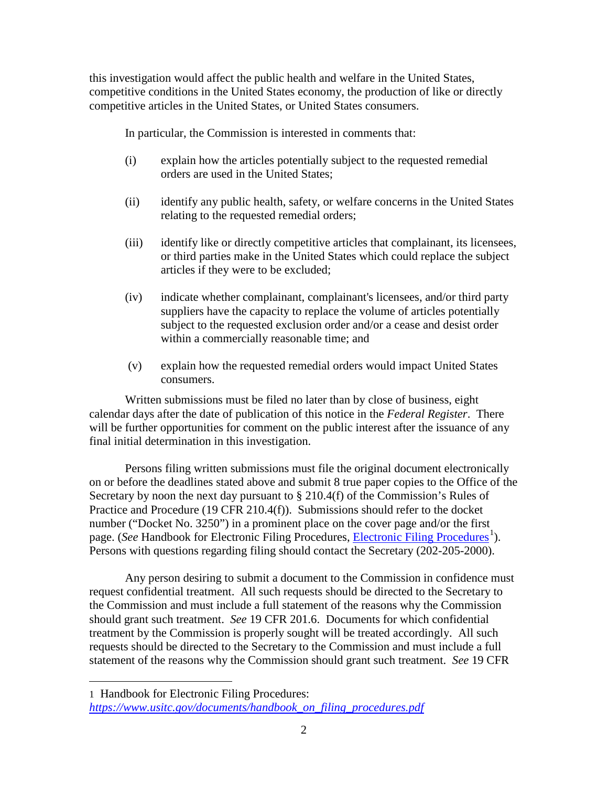this investigation would affect the public health and welfare in the United States, competitive conditions in the United States economy, the production of like or directly competitive articles in the United States, or United States consumers.

In particular, the Commission is interested in comments that:

- (i) explain how the articles potentially subject to the requested remedial orders are used in the United States;
- (ii) identify any public health, safety, or welfare concerns in the United States relating to the requested remedial orders;
- (iii) identify like or directly competitive articles that complainant, its licensees, or third parties make in the United States which could replace the subject articles if they were to be excluded;
- (iv) indicate whether complainant, complainant's licensees, and/or third party suppliers have the capacity to replace the volume of articles potentially subject to the requested exclusion order and/or a cease and desist order within a commercially reasonable time; and
- (v) explain how the requested remedial orders would impact United States consumers.

Written submissions must be filed no later than by close of business, eight calendar days after the date of publication of this notice in the *Federal Register*. There will be further opportunities for comment on the public interest after the issuance of any final initial determination in this investigation.

Persons filing written submissions must file the original document electronically on or before the deadlines stated above and submit 8 true paper copies to the Office of the Secretary by noon the next day pursuant to § 210.4(f) of the Commission's Rules of Practice and Procedure (19 CFR 210.4(f)). Submissions should refer to the docket number ("Docket No. 3250") in a prominent place on the cover page and/or the first page. (*See* Handbook for [Electronic Filing Procedures](https://www.usitc.gov/documents/handbook_on_filing_procedures.pdf), *Electronic Filing Procedures*<sup>[1](#page-1-0)</sup>). Persons with questions regarding filing should contact the Secretary (202-205-2000).

Any person desiring to submit a document to the Commission in confidence must request confidential treatment. All such requests should be directed to the Secretary to the Commission and must include a full statement of the reasons why the Commission should grant such treatment. *See* 19 CFR 201.6. Documents for which confidential treatment by the Commission is properly sought will be treated accordingly. All such requests should be directed to the Secretary to the Commission and must include a full statement of the reasons why the Commission should grant such treatment. *See* 19 CFR

 $\overline{a}$ 

<span id="page-1-0"></span><sup>1</sup> Handbook for Electronic Filing Procedures: *[https://www.usitc.gov/documents/handbook\\_on\\_filing\\_procedures.pdf](https://www.usitc.gov/documents/handbook_on_filing_procedures.pdf)*